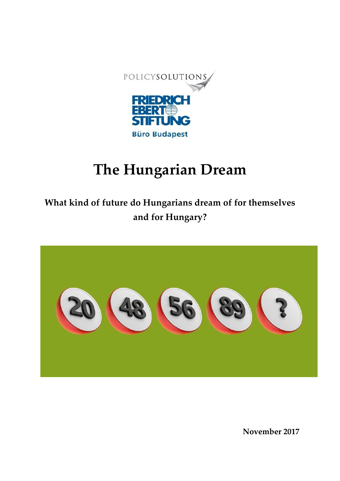

## **The Hungarian Dream**

**What kind of future do Hungarians dream of for themselves and for Hungary?**



**November 2017**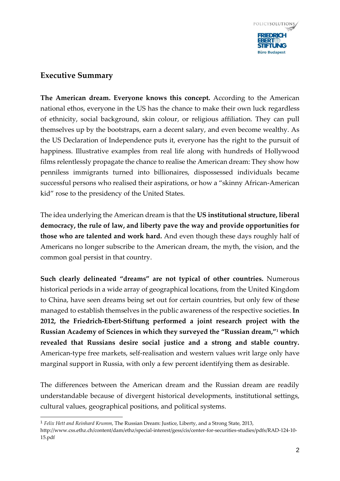

## **Executive Summary**

-

**The American dream. Everyone knows this concept.** According to the American national ethos, everyone in the US has the chance to make their own luck regardless of ethnicity, social background, skin colour, or religious affiliation. They can pull themselves up by the bootstraps, earn a decent salary, and even become wealthy. As the US Declaration of Independence puts it, everyone has the right to the pursuit of happiness. Illustrative examples from real life along with hundreds of Hollywood films relentlessly propagate the chance to realise the American dream: They show how penniless immigrants turned into billionaires, dispossessed individuals became successful persons who realised their aspirations, or how a "skinny African-American kid" rose to the presidency of the United States.

The idea underlying the American dream is that the **US institutional structure, liberal democracy, the rule of law, and liberty pave the way and provide opportunities for those who are talented and work hard.** And even though these days roughly half of Americans no longer subscribe to the American dream, the myth, the vision, and the common goal persist in that country.

**Such clearly delineated "dreams" are not typical of other countries.** Numerous historical periods in a wide array of geographical locations, from the United Kingdom to China, have seen dreams being set out for certain countries, but only few of these managed to establish themselves in the public awareness of the respective societies. **In 2012, the Friedrich-Ebert-Stiftung performed a joint research project with the Russian Academy of Sciences in which they surveyed the "Russian dream," <sup>1</sup> which revealed that Russians desire social justice and a strong and stable country.**  American-type free markets, self-realisation and western values writ large only have marginal support in Russia, with only a few percent identifying them as desirable.

The differences between the American dream and the Russian dream are readily understandable because of divergent historical developments, institutional settings, cultural values, geographical positions, and political systems.

<sup>1</sup> *Felix Hett and Reinhard Krumm*, The Russian Dream: Justice, Liberty, and a Strong State, 2013,

http://www.css.ethz.ch/content/dam/ethz/special-interest/gess/cis/center-for-securities-studies/pdfs/RAD-124-10- 15.pdf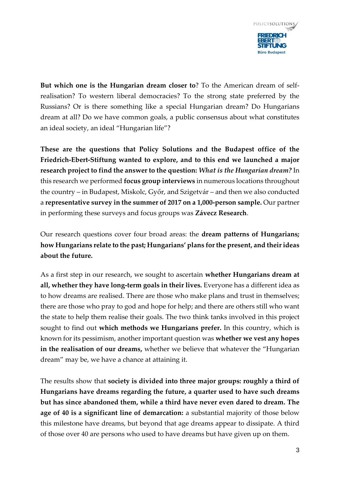

**But which one is the Hungarian dream closer to**? To the American dream of selfrealisation? To western liberal democracies? To the strong state preferred by the Russians? Or is there something like a special Hungarian dream? Do Hungarians dream at all? Do we have common goals, a public consensus about what constitutes an ideal society, an ideal "Hungarian life"?

**These are the questions that Policy Solutions and the Budapest office of the Friedrich-Ebert-Stiftung wanted to explore, and to this end we launched a major research project to find the answer to the question:** *What is the Hungarian dream?* In this research we performed **focus group interviews** in numerous locations throughout the country – in Budapest, Miskolc, Győr, and Szigetvár – and then we also conducted a **representative survey in the summer of 2017 on a 1,000-person sample.** Our partner in performing these surveys and focus groups was **Závecz Research**.

Our research questions cover four broad areas: the **dream patterns of Hungarians; how Hungarians relate to the past; Hungarians' plans for the present, and their ideas about the future.** 

As a first step in our research, we sought to ascertain **whether Hungarians dream at all, whether they have long-term goals in their lives.** Everyone has a different idea as to how dreams are realised. There are those who make plans and trust in themselves; there are those who pray to god and hope for help; and there are others still who want the state to help them realise their goals. The two think tanks involved in this project sought to find out **which methods we Hungarians prefer.** In this country, which is known for its pessimism, another important question was **whether we vest any hopes in the realisation of our dreams,** whether we believe that whatever the "Hungarian dream" may be, we have a chance at attaining it.

The results show that **society is divided into three major groups: roughly a third of Hungarians have dreams regarding the future, a quarter used to have such dreams but has since abandoned them, while a third have never even dared to dream. The age of 40 is a significant line of demarcation:** a substantial majority of those below this milestone have dreams, but beyond that age dreams appear to dissipate. A third of those over 40 are persons who used to have dreams but have given up on them.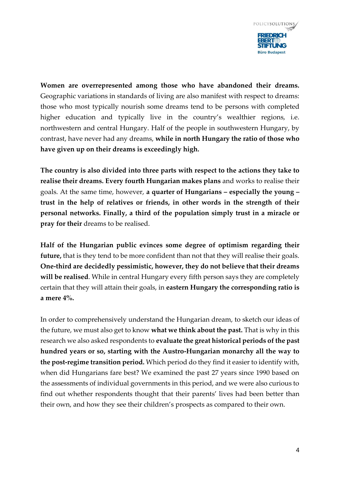

**Women are overrepresented among those who have abandoned their dreams.** Geographic variations in standards of living are also manifest with respect to dreams: those who most typically nourish some dreams tend to be persons with completed higher education and typically live in the country's wealthier regions, i.e. northwestern and central Hungary. Half of the people in southwestern Hungary, by contrast, have never had any dreams, **while in north Hungary the ratio of those who have given up on their dreams is exceedingly high.**

**The country is also divided into three parts with respect to the actions they take to realise their dreams. Every fourth Hungarian makes plans** and works to realise their goals. At the same time, however, **a quarter of Hungarians – especially the young – trust in the help of relatives or friends, in other words in the strength of their personal networks. Finally, a third of the population simply trust in a miracle or pray for their** dreams to be realised.

**Half of the Hungarian public evinces some degree of optimism regarding their**  future, that is they tend to be more confident than not that they will realise their goals. **One-third are decidedly pessimistic, however, they do not believe that their dreams will be realised**. While in central Hungary every fifth person says they are completely certain that they will attain their goals, in **eastern Hungary the corresponding ratio is a mere 4%.** 

In order to comprehensively understand the Hungarian dream, to sketch our ideas of the future, we must also get to know **what we think about the past.** That is why in this research we also asked respondents to **evaluate the great historical periods of the past hundred years or so, starting with the Austro-Hungarian monarchy all the way to the post-regime transition period.** Which period do they find it easier to identify with, when did Hungarians fare best? We examined the past 27 years since 1990 based on the assessments of individual governments in this period, and we were also curious to find out whether respondents thought that their parents' lives had been better than their own, and how they see their children's prospects as compared to their own.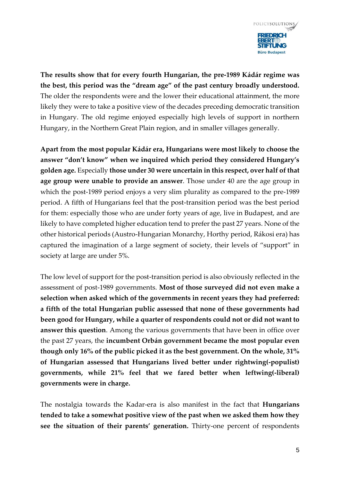

**The results show that for every fourth Hungarian, the pre-1989 Kádár regime was the best, this period was the "dream age" of the past century broadly understood.**  The older the respondents were and the lower their educational attainment, the more likely they were to take a positive view of the decades preceding democratic transition in Hungary. The old regime enjoyed especially high levels of support in northern Hungary, in the Northern Great Plain region, and in smaller villages generally.

**Apart from the most popular Kádár era, Hungarians were most likely to choose the answer "don't know" when we inquired which period they considered Hungary's golden age.** Especially **those under 30 were uncertain in this respect, over half of that age group were unable to provide an answer**. Those under 40 are the age group in which the post-1989 period enjoys a very slim plurality as compared to the pre-1989 period. A fifth of Hungarians feel that the post-transition period was the best period for them: especially those who are under forty years of age, live in Budapest, and are likely to have completed higher education tend to prefer the past 27 years. None of the other historical periods (Austro-Hungarian Monarchy, Horthy period, Rákosi era) has captured the imagination of a large segment of society, their levels of "support" in society at large are under 5%.

The low level of support for the post-transition period is also obviously reflected in the assessment of post-1989 governments. **Most of those surveyed did not even make a selection when asked which of the governments in recent years they had preferred: a fifth of the total Hungarian public assessed that none of these governments had been good for Hungary, while a quarter of respondents could not or did not want to answer this question**. Among the various governments that have been in office over the past 27 years, the **incumbent Orbán government became the most popular even though only 16% of the public picked it as the best government. On the whole, 31% of Hungarian assessed that Hungarians lived better under rightwing(-populist) governments, while 21% feel that we fared better when leftwing(-liberal) governments were in charge.** 

The nostalgia towards the Kadar-era is also manifest in the fact that **Hungarians tended to take a somewhat positive view of the past when we asked them how they see the situation of their parents' generation.** Thirty-one percent of respondents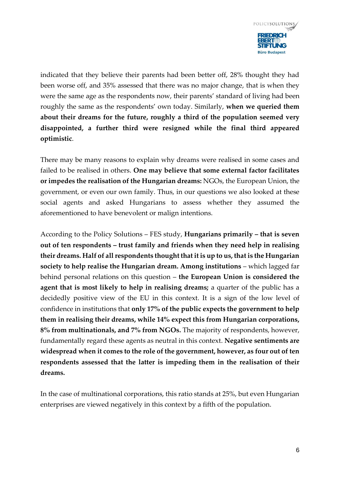

indicated that they believe their parents had been better off, 28% thought they had been worse off, and 35% assessed that there was no major change, that is when they were the same age as the respondents now, their parents' standard of living had been roughly the same as the respondents' own today. Similarly, **when we queried them about their dreams for the future, roughly a third of the population seemed very disappointed, a further third were resigned while the final third appeared optimistic**.

There may be many reasons to explain why dreams were realised in some cases and failed to be realised in others. **One may believe that some external factor facilitates or impedes the realisation of the Hungarian dreams:** NGOs, the European Union, the government, or even our own family. Thus, in our questions we also looked at these social agents and asked Hungarians to assess whether they assumed the aforementioned to have benevolent or malign intentions.

According to the Policy Solutions – FES study, **Hungarians primarily – that is seven out of ten respondents – trust family and friends when they need help in realising their dreams. Half of all respondents thought that it is up to us, that is the Hungarian society to help realise the Hungarian dream. Among institutions – which lagged far** behind personal relations on this question – **the European Union is considered the agent that is most likely to help in realising dreams;** a quarter of the public has a decidedly positive view of the EU in this context. It is a sign of the low level of confidence in institutions that **only 17% of the public expects the government to help them in realising their dreams, while 14% expect this from Hungarian corporations, 8% from multinationals, and 7% from NGOs.** The majority of respondents, however, fundamentally regard these agents as neutral in this context. **Negative sentiments are widespread when it comes to the role of the government, however, as four out of ten respondents assessed that the latter is impeding them in the realisation of their dreams.** 

In the case of multinational corporations, this ratio stands at 25%, but even Hungarian enterprises are viewed negatively in this context by a fifth of the population.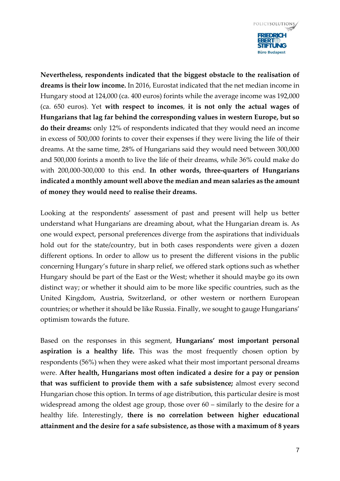

**Nevertheless, respondents indicated that the biggest obstacle to the realisation of dreams is their low income.** In 2016, Eurostat indicated that the net median income in Hungary stood at 124,000 (ca. 400 euros) forints while the average income was 192,000 (ca. 650 euros). Yet **with respect to incomes**, **it is not only the actual wages of Hungarians that lag far behind the corresponding values in western Europe, but so do their dreams:** only 12% of respondents indicated that they would need an income in excess of 500,000 forints to cover their expenses if they were living the life of their dreams. At the same time, 28% of Hungarians said they would need between 300,000 and 500,000 forints a month to live the life of their dreams, while 36% could make do with 200,000-300,000 to this end. **In other words, three-quarters of Hungarians indicated a monthly amount well above the median and mean salaries as the amount of money they would need to realise their dreams.** 

Looking at the respondents' assessment of past and present will help us better understand what Hungarians are dreaming about, what the Hungarian dream is. As one would expect, personal preferences diverge from the aspirations that individuals hold out for the state/country, but in both cases respondents were given a dozen different options. In order to allow us to present the different visions in the public concerning Hungary's future in sharp relief, we offered stark options such as whether Hungary should be part of the East or the West; whether it should maybe go its own distinct way; or whether it should aim to be more like specific countries, such as the United Kingdom, Austria, Switzerland, or other western or northern European countries; or whether it should be like Russia. Finally, we sought to gauge Hungarians' optimism towards the future.

Based on the responses in this segment, **Hungarians' most important personal aspiration is a healthy life.** This was the most frequently chosen option by respondents (56%) when they were asked what their most important personal dreams were. **After health, Hungarians most often indicated a desire for a pay or pension that was sufficient to provide them with a safe subsistence;** almost every second Hungarian chose this option. In terms of age distribution, this particular desire is most widespread among the oldest age group, those over 60 – similarly to the desire for a healthy life. Interestingly, **there is no correlation between higher educational attainment and the desire for a safe subsistence, as those with a maximum of 8 years**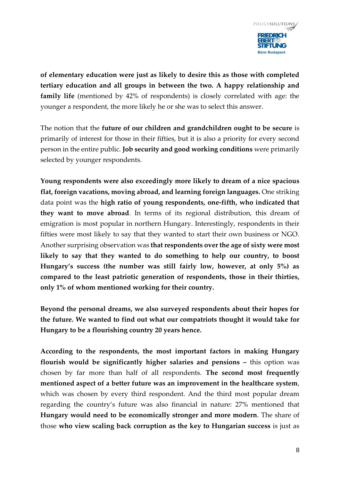

**of elementary education were just as likely to desire this as those with completed tertiary education and all groups in between the two. A happy relationship and family life** (mentioned by 42% of respondents) is closely correlated with age: the younger a respondent, the more likely he or she was to select this answer.

The notion that the **future of our children and grandchildren ought to be secure** is primarily of interest for those in their fifties, but it is also a priority for every second person in the entire public. **Job security and good working conditions** were primarily selected by younger respondents.

**Young respondents were also exceedingly more likely to dream of a nice spacious flat, foreign vacations, moving abroad, and learning foreign languages.** One striking data point was the **high ratio of young respondents, one-fifth, who indicated that they want to move abroad**. In terms of its regional distribution, this dream of emigration is most popular in northern Hungary. Interestingly, respondents in their fifties were most likely to say that they wanted to start their own business or NGO. Another surprising observation was **that respondents over the age of sixty were most likely to say that they wanted to do something to help our country, to boost Hungary's success (the number was still fairly low, however, at only 5%) as compared to the least patriotic generation of respondents, those in their thirties, only 1% of whom mentioned working for their country.** 

**Beyond the personal dreams, we also surveyed respondents about their hopes for the future. We wanted to find out what our compatriots thought it would take for Hungary to be a flourishing country 20 years hence.** 

**According to the respondents, the most important factors in making Hungary flourish would be significantly higher salaries and pensions –** this option was chosen by far more than half of all respondents. **The second most frequently mentioned aspect of a better future was an improvement in the healthcare system**, which was chosen by every third respondent. And the third most popular dream regarding the country's future was also financial in nature: 27% mentioned that **Hungary would need to be economically stronger and more modern**. The share of those **who view scaling back corruption as the key to Hungarian success** is just as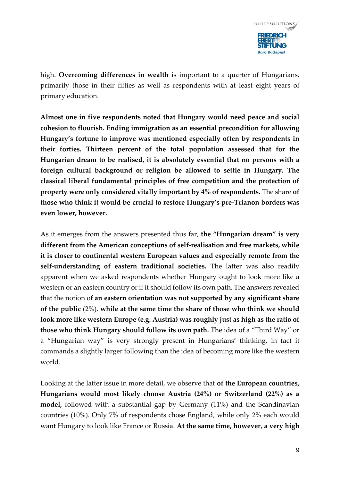

high. **Overcoming differences in wealth** is important to a quarter of Hungarians, primarily those in their fifties as well as respondents with at least eight years of primary education.

**Almost one in five respondents noted that Hungary would need peace and social cohesion to flourish. Ending immigration as an essential precondition for allowing Hungary's fortune to improve was mentioned especially often by respondents in their forties. Thirteen percent of the total population assessed that for the Hungarian dream to be realised, it is absolutely essential that no persons with a foreign cultural background or religion be allowed to settle in Hungary. The classical liberal fundamental principles of free competition and the protection of property were only considered vitally important by 4% of respondents.** The share **of those who think it would be crucial to restore Hungary's pre-Trianon borders was even lower, however.** 

As it emerges from the answers presented thus far, **the "Hungarian dream" is very different from the American conceptions of self-realisation and free markets, while it is closer to continental western European values and especially remote from the self-understanding of eastern traditional societies.** The latter was also readily apparent when we asked respondents whether Hungary ought to look more like a western or an eastern country or if it should follow its own path. The answers revealed that the notion of **an eastern orientation was not supported by any significant share of the public** (2%), **while at the same time the share of those who think we should look more like western Europe (e.g. Austria) was roughly just as high as the ratio of those who think Hungary should follow its own path.** The idea of a "Third Way" or a "Hungarian way" is very strongly present in Hungarians' thinking, in fact it commands a slightly larger following than the idea of becoming more like the western world.

Looking at the latter issue in more detail, we observe that **of the European countries, Hungarians would most likely choose Austria (24%) or Switzerland (22%) as a model,** followed with a substantial gap by Germany (11%) and the Scandinavian countries (10%). Only 7% of respondents chose England, while only 2% each would want Hungary to look like France or Russia. **At the same time, however, a very high**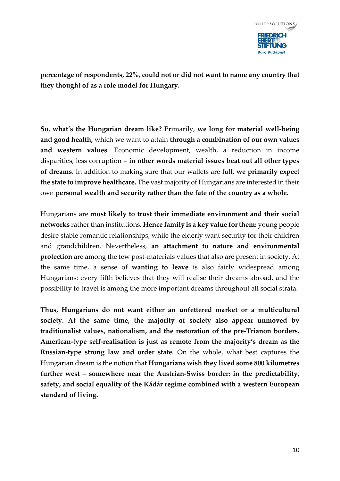

**percentage of respondents, 22%, could not or did not want to name any country that they thought of as a role model for Hungary.**

**So, what's the Hungarian dream like?** Primarily, **we long for material well-being and good health,** which we want to attain **through a combination of our own values and western values**. Economic development, wealth, a reduction in income disparities, less corruption – **in other words material issues beat out all other types of dreams**. In addition to making sure that our wallets are full, **we primarily expect the state to improve healthcare.** The vast majority of Hungarians are interested in their own **personal wealth and security rather than the fate of the country as a whole.** 

Hungarians are **most likely to trust their immediate environment and their social networks** rather than institutions. **Hence family is a key value for them:** young people desire stable romantic relationships, while the elderly want security for their children and grandchildren. Nevertheless, **an attachment to nature and environmental protection** are among the few post-materials values that also are present in society. At the same time, a sense of **wanting to leave** is also fairly widespread among Hungarians: every fifth believes that they will realise their dreams abroad, and the possibility to travel is among the more important dreams throughout all social strata.

**Thus, Hungarians do not want either an unfettered market or a multicultural society. At the same time, the majority of society also appear unmoved by traditionalist values, nationalism, and the restoration of the pre-Trianon borders. American-type self-realisation is just as remote from the majority's dream as the Russian-type strong law and order state.** On the whole, what best captures the Hungarian dream is the notion that **Hungarians wish they lived some 800 kilometres further west – somewhere near the Austrian-Swiss border: in the predictability, safety, and social equality of the Kádár regime combined with a western European standard of living.**